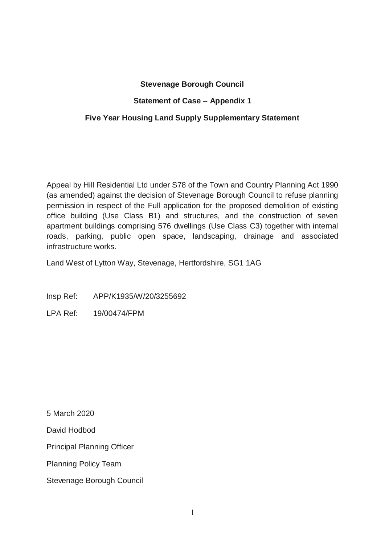#### **Stevenage Borough Council**

#### **Statement of Case – Appendix 1**

### **Five Year Housing Land Supply Supplementary Statement**

Appeal by Hill Residential Ltd under S78 of the Town and Country Planning Act 1990 (as amended) against the decision of Stevenage Borough Council to refuse planning permission in respect of the Full application for the proposed demolition of existing office building (Use Class B1) and structures, and the construction of seven apartment buildings comprising 576 dwellings (Use Class C3) together with internal roads, parking, public open space, landscaping, drainage and associated infrastructure works.

Land West of Lytton Way, Stevenage, Hertfordshire, SG1 1AG

Insp Ref: APP/K1935/W/20/3255692

LPA Ref: 19/00474/FPM

5 March 2020

David Hodbod

Principal Planning Officer

Planning Policy Team

Stevenage Borough Council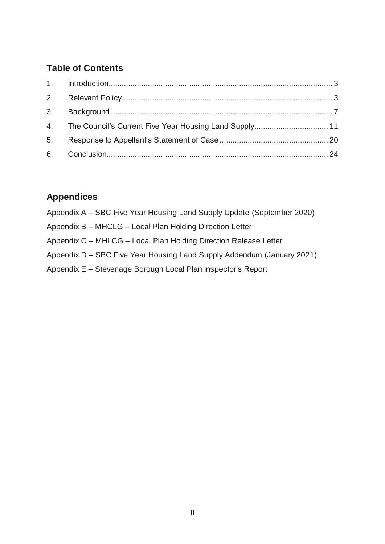# **Table of Contents**

# **Appendices**

| Appendix A – SBC Five Year Housing Land Supply Update (September 2020) |
|------------------------------------------------------------------------|
| Appendix B - MHCLG - Local Plan Holding Direction Letter               |
| Appendix C - MHLCG - Local Plan Holding Direction Release Letter       |
| Appendix D - SBC Five Year Housing Land Supply Addendum (January 2021) |
| Appendix E - Stevenage Borough Local Plan Inspector's Report           |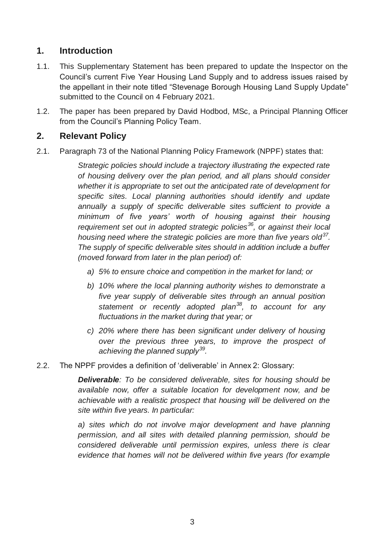# <span id="page-2-0"></span>**1. Introduction**

- 1.1. This Supplementary Statement has been prepared to update the Inspector on the Council's current Five Year Housing Land Supply and to address issues raised by the appellant in their note titled "Stevenage Borough Housing Land Supply Update" submitted to the Council on 4 February 2021.
- 1.2. The paper has been prepared by David Hodbod, MSc, a Principal Planning Officer from the Council's Planning Policy Team.

# <span id="page-2-1"></span>**2. Relevant Policy**

2.1. Paragraph 73 of the National Planning Policy Framework (NPPF) states that:

*Strategic policies should include a trajectory illustrating the expected rate of housing delivery over the plan period, and all plans should consider whether it is appropriate to set out the anticipated rate of development for specific sites. Local planning authorities should identify and update annually a supply of specific deliverable sites sufficient to provide a minimum of five years' worth of housing against their housing requirement set out in adopted strategic policies<sup>36</sup>, or against their local housing need where the strategic policies are more than five years old<sup>37</sup> . The supply of specific deliverable sites should in addition include a buffer (moved forward from later in the plan period) of:*

- *a) 5% to ensure choice and competition in the market for land; or*
- *b) 10% where the local planning authority wishes to demonstrate a five year supply of deliverable sites through an annual position statement or recently adopted plan<sup>38</sup>, to account for any fluctuations in the market during that year; or*
- *c) 20% where there has been significant under delivery of housing over the previous three years, to improve the prospect of achieving the planned supply<sup>39</sup> .*
- 2.2. The NPPF provides a definition of 'deliverable' in Annex 2: Glossary:

*Deliverable: To be considered deliverable, sites for housing should be available now, offer a suitable location for development now, and be achievable with a realistic prospect that housing will be delivered on the site within five years. In particular:*

*a) sites which do not involve major development and have planning permission, and all sites with detailed planning permission, should be considered deliverable until permission expires, unless there is clear evidence that homes will not be delivered within five years (for example*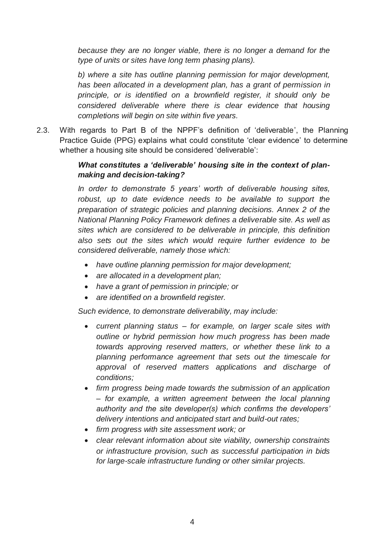*because they are no longer viable, there is no longer a demand for the type of units or sites have long term phasing plans).*

*b) where a site has outline planning permission for major development, has been allocated in a development plan, has a grant of permission in principle, or is identified on a brownfield register, it should only be considered deliverable where there is clear evidence that housing completions will begin on site within five years.*

2.3. With regards to Part B of the NPPF's definition of 'deliverable', the Planning Practice Guide (PPG) explains what could constitute 'clear evidence' to determine whether a housing site should be considered 'deliverable':

# *What constitutes a 'deliverable' housing site in the context of planmaking and decision-taking?*

*In order to demonstrate 5 years' worth of deliverable housing sites,*  robust, up to date evidence needs to be available to support the *preparation of strategic policies and planning decisions. Annex 2 of the National Planning Policy Framework defines a deliverable site. As well as sites which are considered to be deliverable in principle, this definition also sets out the sites which would require further evidence to be considered deliverable, namely those which:*

- *have outline planning permission for major development;*
- *are allocated in a development plan;*
- *have a grant of permission in principle; or*
- *are identified on a brownfield register.*

*Such evidence, to demonstrate deliverability, may include:*

- *current planning status – for example, on larger scale sites with outline or hybrid permission how much progress has been made towards approving reserved matters, or whether these link to a planning performance agreement that sets out the timescale for approval of reserved matters applications and discharge of conditions;*
- *firm progress being made towards the submission of an application – for example, a written agreement between the local planning authority and the site developer(s) which confirms the developers' delivery intentions and anticipated start and build-out rates;*
- *firm progress with site assessment work; or*
- *clear relevant information about site viability, ownership constraints or infrastructure provision, such as successful participation in bids for large-scale infrastructure funding or other similar projects.*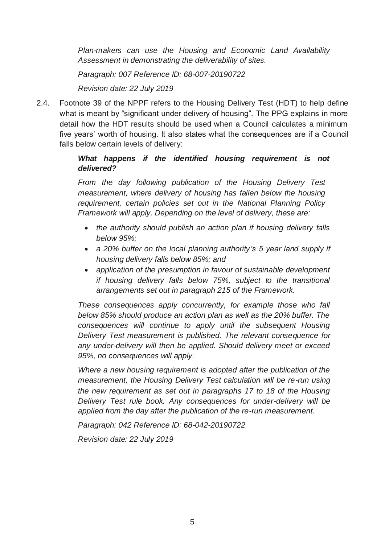*Plan-makers can use the Housing and Economic Land Availability Assessment in demonstrating the deliverability of sites.*

*Paragraph: 007 Reference ID: 68-007-20190722*

*Revision date: 22 July 2019*

2.4. Footnote 39 of the NPPF refers to the Housing Delivery Test (HDT) to help define what is meant by "significant under delivery of housing". The PPG explains in more detail how the HDT results should be used when a Council calculates a minimum five years' worth of housing. It also states what the consequences are if a Council falls below certain levels of delivery:

# *What happens if the identified housing requirement is not delivered?*

*From the day following publication of the Housing Delivery Test measurement, where delivery of housing has fallen below the housing requirement, certain policies set out in the National Planning Policy Framework will apply. Depending on the level of delivery, these are:*

- *the authority should publish an action plan if housing delivery falls below 95%;*
- *a 20% buffer on the local planning authority's 5 year land supply if housing delivery falls below 85%; and*
- *application of the presumption in favour of sustainable development if housing delivery falls below 75%, subject to the transitional arrangements set out in paragraph 215 of the Framework.*

*These consequences apply concurrently, for example those who fall below 85% should produce an action plan as well as the 20% buffer. The consequences will continue to apply until the subsequent Housing Delivery Test measurement is published. The relevant consequence for any under-delivery will then be applied. Should delivery meet or exceed 95%, no consequences will apply.*

*Where a new housing requirement is adopted after the publication of the measurement, the Housing Delivery Test calculation will be re-run using the new requirement as set out in paragraphs 17 to 18 of the Housing Delivery Test rule book. Any consequences for under-delivery will be applied from the day after the publication of the re-run measurement.*

*Paragraph: 042 Reference ID: 68-042-20190722*

*Revision date: 22 July 2019*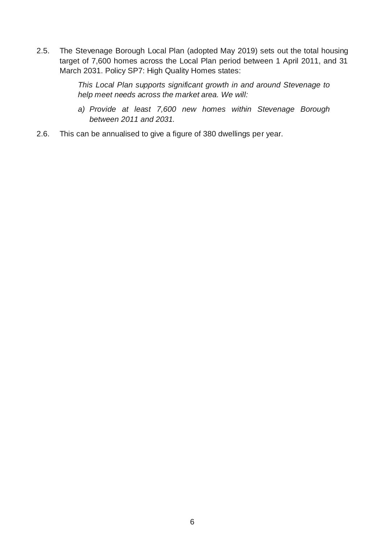2.5. The Stevenage Borough Local Plan (adopted May 2019) sets out the total housing target of 7,600 homes across the Local Plan period between 1 April 2011, and 31 March 2031. Policy SP7: High Quality Homes states:

> *This Local Plan supports significant growth in and around Stevenage to help meet needs across the market area. We will:*

- *a) Provide at least 7,600 new homes within Stevenage Borough between 2011 and 2031.*
- 2.6. This can be annualised to give a figure of 380 dwellings per year.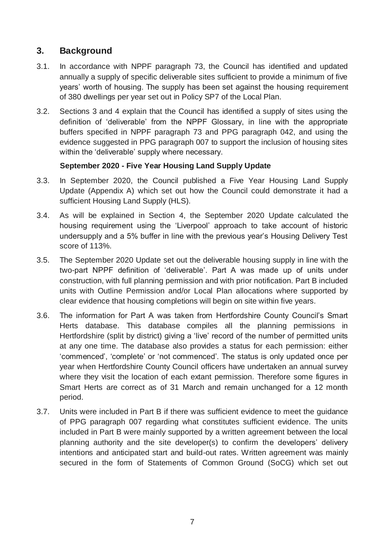# <span id="page-6-0"></span>**3. Background**

- 3.1. In accordance with NPPF paragraph 73, the Council has identified and updated annually a supply of specific deliverable sites sufficient to provide a minimum of five years' worth of housing. The supply has been set against the housing requirement of 380 dwellings per year set out in Policy SP7 of the Local Plan.
- 3.2. Sections 3 and 4 explain that the Council has identified a supply of sites using the definition of 'deliverable' from the NPPF Glossary, in line with the appropriate buffers specified in NPPF paragraph 73 and PPG paragraph 042, and using the evidence suggested in PPG paragraph 007 to support the inclusion of housing sites within the 'deliverable' supply where necessary.

# **September 2020 - Five Year Housing Land Supply Update**

- 3.3. In September 2020, the Council published a Five Year Housing Land Supply Update (Appendix A) which set out how the Council could demonstrate it had a sufficient Housing Land Supply (HLS).
- 3.4. As will be explained in Section 4, the September 2020 Update calculated the housing requirement using the 'Liverpool' approach to take account of historic undersupply and a 5% buffer in line with the previous year's Housing Delivery Test score of 113%.
- 3.5. The September 2020 Update set out the deliverable housing supply in line with the two-part NPPF definition of 'deliverable'. Part A was made up of units under construction, with full planning permission and with prior notification. Part B included units with Outline Permission and/or Local Plan allocations where supported by clear evidence that housing completions will begin on site within five years.
- 3.6. The information for Part A was taken from Hertfordshire County Council's Smart Herts database. This database compiles all the planning permissions in Hertfordshire (split by district) giving a 'live' record of the number of permitted units at any one time. The database also provides a status for each permission: either 'commenced', 'complete' or 'not commenced'. The status is only updated once per year when Hertfordshire County Council officers have undertaken an annual survey where they visit the location of each extant permission. Therefore some figures in Smart Herts are correct as of 31 March and remain unchanged for a 12 month period.
- 3.7. Units were included in Part B if there was sufficient evidence to meet the guidance of PPG paragraph 007 regarding what constitutes sufficient evidence. The units included in Part B were mainly supported by a written agreement between the local planning authority and the site developer(s) to confirm the developers' delivery intentions and anticipated start and build-out rates. Written agreement was mainly secured in the form of Statements of Common Ground (SoCG) which set out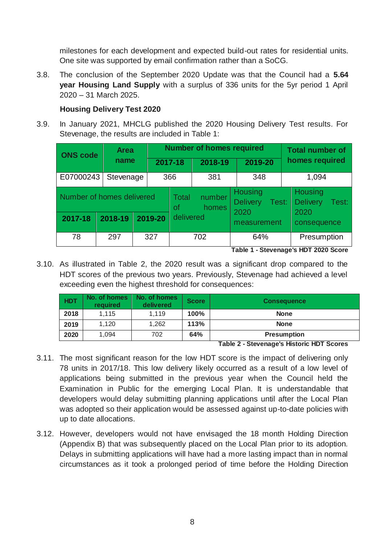milestones for each development and expected build-out rates for residential units. One site was supported by email confirmation rather than a SoCG.

3.8. The conclusion of the September 2020 Update was that the Council had a **5.64 year Housing Land Supply** with a surplus of 336 units for the 5yr period 1 April 2020 – 31 March 2025.

# **Housing Delivery Test 2020**

3.9. In January 2021, MHCLG published the 2020 Housing Delivery Test results. For Stevenage, the results are included in Table 1:

| <b>ONS code</b>           | <b>Area</b> |         |             | <b>Number of homes required</b> | <b>Total number of</b>                             |                                                    |
|---------------------------|-------------|---------|-------------|---------------------------------|----------------------------------------------------|----------------------------------------------------|
|                           | name        |         | 2017-18     | 2018-19                         | 2019-20                                            | homes required                                     |
| E07000243                 | Stevenage   |         | 366         | 381                             | 348                                                | 1,094                                              |
| Number of homes delivered |             |         | Total<br>0f | number<br>homes                 | <b>Housing</b><br><b>Delivery</b><br>Test:<br>2020 | <b>Housing</b><br><b>Delivery</b><br>Test:<br>2020 |
| 2017-18                   | 2018-19     | 2019-20 | delivered   |                                 | measurement                                        | consequence                                        |
| 78                        | 297         | 327     |             | 702                             | 64%                                                | Presumption                                        |

**Table 1 - Stevenage's HDT 2020 Score**

3.10. As illustrated in Table 2, the 2020 result was a significant drop compared to the HDT scores of the previous two years. Previously, Stevenage had achieved a level exceeding even the highest threshold for consequences:

| <b>HDT</b> | No. of homes<br>required | No. of homes<br>delivered | <b>Score</b> | <b>Consequence</b>            |
|------------|--------------------------|---------------------------|--------------|-------------------------------|
| 2018       | 1,115                    | 1,119                     | 100%         | <b>None</b>                   |
| 2019       | 1,120                    | 1,262                     | 113%         | <b>None</b>                   |
| 2020       | 1,094                    | 702                       | 64%          | <b>Presumption</b>            |
|            |                          |                           |              | — '' A A '' '' '' '' '' '' '' |

**Table 2 - Stevenage's Historic HDT Scores**

- 3.11. The most significant reason for the low HDT score is the impact of delivering only 78 units in 2017/18. This low delivery likely occurred as a result of a low level of applications being submitted in the previous year when the Council held the Examination in Public for the emerging Local Plan. It is understandable that developers would delay submitting planning applications until after the Local Plan was adopted so their application would be assessed against up-to-date policies with up to date allocations.
- 3.12. However, developers would not have envisaged the 18 month Holding Direction (Appendix B) that was subsequently placed on the Local Plan prior to its adoption. Delays in submitting applications will have had a more lasting impact than in normal circumstances as it took a prolonged period of time before the Holding Direction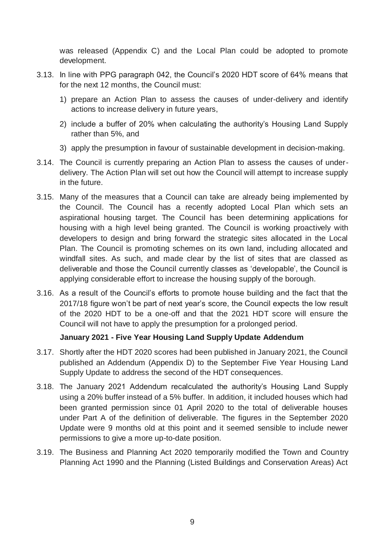was released (Appendix C) and the Local Plan could be adopted to promote development.

- 3.13. In line with PPG paragraph 042, the Council's 2020 HDT score of 64% means that for the next 12 months, the Council must:
	- 1) prepare an Action Plan to assess the causes of under-delivery and identify actions to increase delivery in future years,
	- 2) include a buffer of 20% when calculating the authority's Housing Land Supply rather than 5%, and
	- 3) apply the presumption in favour of sustainable development in decision-making.
- 3.14. The Council is currently preparing an Action Plan to assess the causes of underdelivery. The Action Plan will set out how the Council will attempt to increase supply in the future.
- 3.15. Many of the measures that a Council can take are already being implemented by the Council. The Council has a recently adopted Local Plan which sets an aspirational housing target. The Council has been determining applications for housing with a high level being granted. The Council is working proactively with developers to design and bring forward the strategic sites allocated in the Local Plan. The Council is promoting schemes on its own land, including allocated and windfall sites. As such, and made clear by the list of sites that are classed as deliverable and those the Council currently classes as 'developable', the Council is applying considerable effort to increase the housing supply of the borough.
- 3.16. As a result of the Council's efforts to promote house building and the fact that the 2017/18 figure won't be part of next year's score, the Council expects the low result of the 2020 HDT to be a one-off and that the 2021 HDT score will ensure the Council will not have to apply the presumption for a prolonged period.

# **January 2021 - Five Year Housing Land Supply Update Addendum**

- 3.17. Shortly after the HDT 2020 scores had been published in January 2021, the Council published an Addendum (Appendix D) to the September Five Year Housing Land Supply Update to address the second of the HDT consequences.
- 3.18. The January 2021 Addendum recalculated the authority's Housing Land Supply using a 20% buffer instead of a 5% buffer. In addition, it included houses which had been granted permission since 01 April 2020 to the total of deliverable houses under Part A of the definition of deliverable. The figures in the September 2020 Update were 9 months old at this point and it seemed sensible to include newer permissions to give a more up-to-date position.
- 3.19. The Business and Planning Act 2020 temporarily modified the Town and Country Planning Act 1990 and the Planning (Listed Buildings and Conservation Areas) Act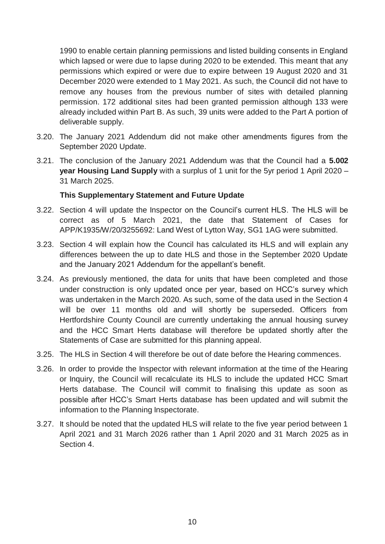1990 to enable certain planning permissions and listed building consents in England which lapsed or were due to lapse during 2020 to be extended. This meant that any permissions which expired or were due to expire between 19 August 2020 and 31 December 2020 were extended to 1 May 2021. As such, the Council did not have to remove any houses from the previous number of sites with detailed planning permission. 172 additional sites had been granted permission although 133 were already included within Part B. As such, 39 units were added to the Part A portion of deliverable supply.

- 3.20. The January 2021 Addendum did not make other amendments figures from the September 2020 Update.
- 3.21. The conclusion of the January 2021 Addendum was that the Council had a **5.002 year Housing Land Supply** with a surplus of 1 unit for the 5yr period 1 April 2020 – 31 March 2025.

#### **This Supplementary Statement and Future Update**

- 3.22. Section 4 will update the Inspector on the Council's current HLS. The HLS will be correct as of 5 March 2021, the date that Statement of Cases for APP/K1935/W/20/3255692: Land West of Lytton Way, SG1 1AG were submitted.
- 3.23. Section 4 will explain how the Council has calculated its HLS and will explain any differences between the up to date HLS and those in the September 2020 Update and the January 2021 Addendum for the appellant's benefit.
- 3.24. As previously mentioned, the data for units that have been completed and those under construction is only updated once per year, based on HCC's survey which was undertaken in the March 2020. As such, some of the data used in the Section 4 will be over 11 months old and will shortly be superseded. Officers from Hertfordshire County Council are currently undertaking the annual housing survey and the HCC Smart Herts database will therefore be updated shortly after the Statements of Case are submitted for this planning appeal.
- 3.25. The HLS in Section 4 will therefore be out of date before the Hearing commences.
- 3.26. In order to provide the Inspector with relevant information at the time of the Hearing or Inquiry, the Council will recalculate its HLS to include the updated HCC Smart Herts database. The Council will commit to finalising this update as soon as possible after HCC's Smart Herts database has been updated and will submit the information to the Planning Inspectorate.
- 3.27. It should be noted that the updated HLS will relate to the five year period between 1 April 2021 and 31 March 2026 rather than 1 April 2020 and 31 March 2025 as in Section 4.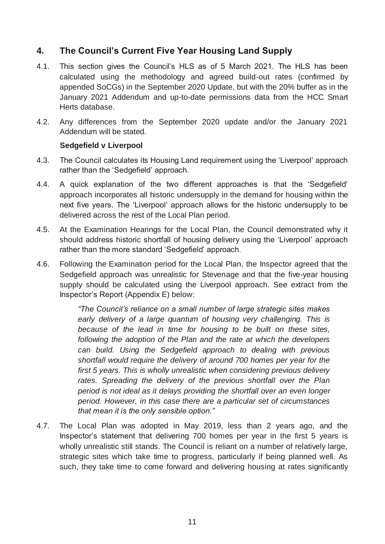# <span id="page-10-0"></span>**4. The Council's Current Five Year Housing Land Supply**

- 4.1. This section gives the Council's HLS as of 5 March 2021. The HLS has been calculated using the methodology and agreed build-out rates (confirmed by appended SoCGs) in the September 2020 Update, but with the 20% buffer as in the January 2021 Addendum and up-to-date permissions data from the HCC Smart Herts database.
- 4.2. Any differences from the September 2020 update and/or the January 2021 Addendum will be stated.

# **Sedgefield v Liverpool**

- 4.3. The Council calculates its Housing Land requirement using the 'Liverpool' approach rather than the 'Sedgefield' approach.
- 4.4. A quick explanation of the two different approaches is that the 'Sedgefield' approach incorporates all historic undersupply in the demand for housing within the next five years. The 'Liverpool' approach allows for the historic undersupply to be delivered across the rest of the Local Plan period.
- 4.5. At the Examination Hearings for the Local Plan, the Council demonstrated why it should address historic shortfall of housing delivery using the 'Liverpool' approach rather than the more standard 'Sedgefield' approach.
- 4.6. Following the Examination period for the Local Plan, the Inspector agreed that the Sedgefield approach was unrealistic for Stevenage and that the five-year housing supply should be calculated using the Liverpool approach. See extract from the Inspector's Report (Appendix E) below:

*"The Council's reliance on a small number of large strategic sites makes*  early delivery of a large quantum of housing very challenging. This is *because of the lead in time for housing to be built on these sites, following the adoption of the Plan and the rate at which the developers can build. Using the Sedgefield approach to dealing with previous shortfall would require the delivery of around 700 homes per year for the first 5 years. This is wholly unrealistic when considering previous delivery rates. Spreading the delivery of the previous shortfall over the Plan period is not ideal as it delays providing the shortfall over an even longer period. However, in this case there are a particular set of circumstances that mean it is the only sensible option."*

4.7. The Local Plan was adopted in May 2019, less than 2 years ago, and the Inspector's statement that delivering 700 homes per year in the first 5 years is wholly unrealistic still stands. The Council is reliant on a number of relatively large, strategic sites which take time to progress, particularly if being planned well. As such, they take time to come forward and delivering housing at rates significantly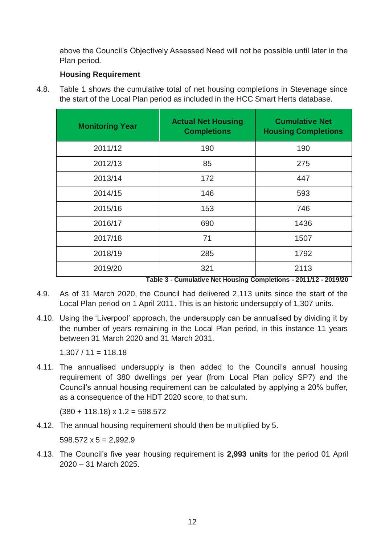above the Council's Objectively Assessed Need will not be possible until later in the Plan period.

# **Housing Requirement**

4.8. Table 1 shows the cumulative total of net housing completions in Stevenage since the start of the Local Plan period as included in the HCC Smart Herts database.

| <b>Monitoring Year</b> | <b>Actual Net Housing</b><br><b>Completions</b> | <b>Cumulative Net</b><br><b>Housing Completions</b> |
|------------------------|-------------------------------------------------|-----------------------------------------------------|
| 2011/12                | 190                                             | 190                                                 |
| 2012/13                | 85                                              | 275                                                 |
| 2013/14                | 172                                             | 447                                                 |
| 2014/15                | 146                                             | 593                                                 |
| 2015/16                | 153                                             | 746                                                 |
| 2016/17                | 690                                             | 1436                                                |
| 2017/18                | 71                                              | 1507                                                |
| 2018/19                | 285                                             | 1792                                                |
| 2019/20                | 321                                             | 2113                                                |

**Table 3 - Cumulative Net Housing Completions - 2011/12 - 2019/20**

- 4.9. As of 31 March 2020, the Council had delivered 2,113 units since the start of the Local Plan period on 1 April 2011. This is an historic undersupply of 1,307 units.
- 4.10. Using the 'Liverpool' approach, the undersupply can be annualised by dividing it by the number of years remaining in the Local Plan period, in this instance 11 years between 31 March 2020 and 31 March 2031.

 $1,307 / 11 = 118.18$ 

4.11. The annualised undersupply is then added to the Council's annual housing requirement of 380 dwellings per year (from Local Plan policy SP7) and the Council's annual housing requirement can be calculated by applying a 20% buffer, as a consequence of the HDT 2020 score, to that sum.

 $(380 + 118.18) \times 1.2 = 598.572$ 

4.12. The annual housing requirement should then be multiplied by 5.

 $598.572 \times 5 = 2,992.9$ 

4.13. The Council's five year housing requirement is **2,993 units** for the period 01 April 2020 – 31 March 2025.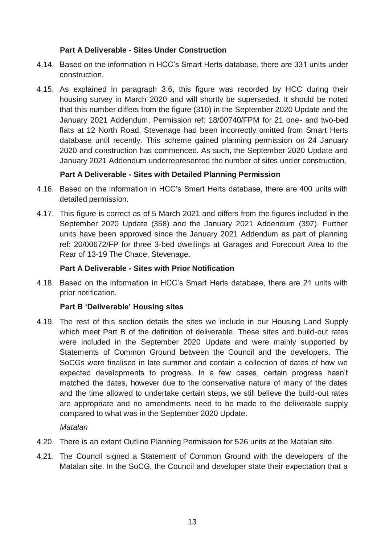# **Part A Deliverable - Sites Under Construction**

- 4.14. Based on the information in HCC's Smart Herts database, there are 331 units under construction.
- 4.15. As explained in paragraph 3.6, this figure was recorded by HCC during their housing survey in March 2020 and will shortly be superseded. It should be noted that this number differs from the figure (310) in the September 2020 Update and the January 2021 Addendum. Permission ref: 18/00740/FPM for 21 one- and two-bed flats at 12 North Road, Stevenage had been incorrectly omitted from Smart Herts database until recently. This scheme gained planning permission on 24 January 2020 and construction has commenced. As such, the September 2020 Update and January 2021 Addendum underrepresented the number of sites under construction.

#### **Part A Deliverable - Sites with Detailed Planning Permission**

- 4.16. Based on the information in HCC's Smart Herts database, there are 400 units with detailed permission.
- 4.17. This figure is correct as of 5 March 2021 and differs from the figures included in the September 2020 Update (358) and the January 2021 Addendum (397). Further units have been approved since the January 2021 Addendum as part of planning ref: 20/00672/FP for three 3-bed dwellings at Garages and Forecourt Area to the Rear of 13-19 The Chace, Stevenage.

#### **Part A Deliverable - Sites with Prior Notification**

4.18. Based on the information in HCC's Smart Herts database, there are 21 units with prior notification.

#### **Part B 'Deliverable' Housing sites**

4.19. The rest of this section details the sites we include in our Housing Land Supply which meet Part B of the definition of deliverable. These sites and build-out rates were included in the September 2020 Update and were mainly supported by Statements of Common Ground between the Council and the developers. The SoCGs were finalised in late summer and contain a collection of dates of how we expected developments to progress. In a few cases, certain progress hasn't matched the dates, however due to the conservative nature of many of the dates and the time allowed to undertake certain steps, we still believe the build-out rates are appropriate and no amendments need to be made to the deliverable supply compared to what was in the September 2020 Update.

#### *Matalan*

- 4.20. There is an extant Outline Planning Permission for 526 units at the Matalan site.
- 4.21. The Council signed a Statement of Common Ground with the developers of the Matalan site. In the SoCG, the Council and developer state their expectation that a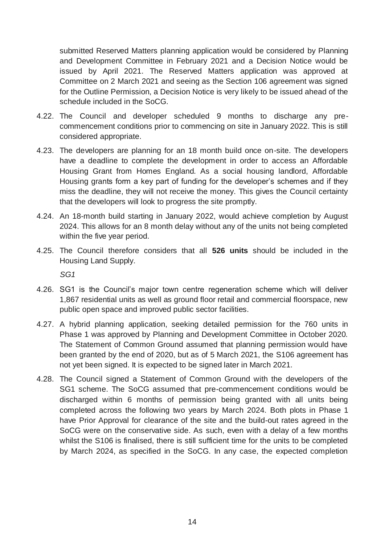submitted Reserved Matters planning application would be considered by Planning and Development Committee in February 2021 and a Decision Notice would be issued by April 2021. The Reserved Matters application was approved at Committee on 2 March 2021 and seeing as the Section 106 agreement was signed for the Outline Permission, a Decision Notice is very likely to be issued ahead of the schedule included in the SoCG.

- 4.22. The Council and developer scheduled 9 months to discharge any precommencement conditions prior to commencing on site in January 2022. This is still considered appropriate.
- 4.23. The developers are planning for an 18 month build once on-site. The developers have a deadline to complete the development in order to access an Affordable Housing Grant from Homes England. As a social housing landlord, Affordable Housing grants form a key part of funding for the developer's schemes and if they miss the deadline, they will not receive the money. This gives the Council certainty that the developers will look to progress the site promptly.
- 4.24. An 18-month build starting in January 2022, would achieve completion by August 2024. This allows for an 8 month delay without any of the units not being completed within the five year period.
- 4.25. The Council therefore considers that all **526 units** should be included in the Housing Land Supply.

*SG1*

- 4.26. SG1 is the Council's major town centre regeneration scheme which will deliver 1,867 residential units as well as ground floor retail and commercial floorspace, new public open space and improved public sector facilities.
- 4.27. A hybrid planning application, seeking detailed permission for the 760 units in Phase 1 was approved by Planning and Development Committee in October 2020. The Statement of Common Ground assumed that planning permission would have been granted by the end of 2020, but as of 5 March 2021, the S106 agreement has not yet been signed. It is expected to be signed later in March 2021.
- 4.28. The Council signed a Statement of Common Ground with the developers of the SG1 scheme. The SoCG assumed that pre-commencement conditions would be discharged within 6 months of permission being granted with all units being completed across the following two years by March 2024. Both plots in Phase 1 have Prior Approval for clearance of the site and the build-out rates agreed in the SoCG were on the conservative side. As such, even with a delay of a few months whilst the S106 is finalised, there is still sufficient time for the units to be completed by March 2024, as specified in the SoCG. In any case, the expected completion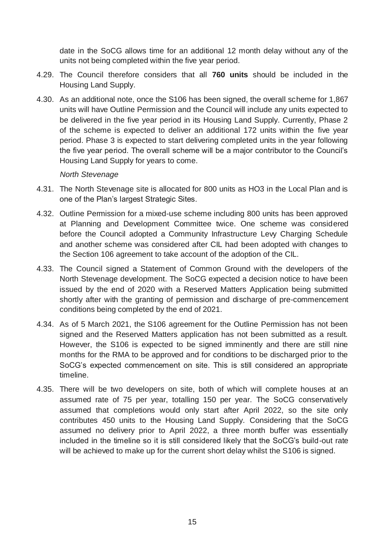date in the SoCG allows time for an additional 12 month delay without any of the units not being completed within the five year period.

- 4.29. The Council therefore considers that all **760 units** should be included in the Housing Land Supply.
- 4.30. As an additional note, once the S106 has been signed, the overall scheme for 1,867 units will have Outline Permission and the Council will include any units expected to be delivered in the five year period in its Housing Land Supply. Currently, Phase 2 of the scheme is expected to deliver an additional 172 units within the five year period. Phase 3 is expected to start delivering completed units in the year following the five year period. The overall scheme will be a major contributor to the Council's Housing Land Supply for years to come.

#### *North Stevenage*

- 4.31. The North Stevenage site is allocated for 800 units as HO3 in the Local Plan and is one of the Plan's largest Strategic Sites.
- 4.32. Outline Permission for a mixed-use scheme including 800 units has been approved at Planning and Development Committee twice. One scheme was considered before the Council adopted a Community Infrastructure Levy Charging Schedule and another scheme was considered after CIL had been adopted with changes to the Section 106 agreement to take account of the adoption of the CIL.
- 4.33. The Council signed a Statement of Common Ground with the developers of the North Stevenage development. The SoCG expected a decision notice to have been issued by the end of 2020 with a Reserved Matters Application being submitted shortly after with the granting of permission and discharge of pre-commencement conditions being completed by the end of 2021.
- 4.34. As of 5 March 2021, the S106 agreement for the Outline Permission has not been signed and the Reserved Matters application has not been submitted as a result. However, the S106 is expected to be signed imminently and there are still nine months for the RMA to be approved and for conditions to be discharged prior to the SoCG's expected commencement on site. This is still considered an appropriate timeline.
- 4.35. There will be two developers on site, both of which will complete houses at an assumed rate of 75 per year, totalling 150 per year. The SoCG conservatively assumed that completions would only start after April 2022, so the site only contributes 450 units to the Housing Land Supply. Considering that the SoCG assumed no delivery prior to April 2022, a three month buffer was essentially included in the timeline so it is still considered likely that the SoCG's build-out rate will be achieved to make up for the current short delay whilst the S106 is signed.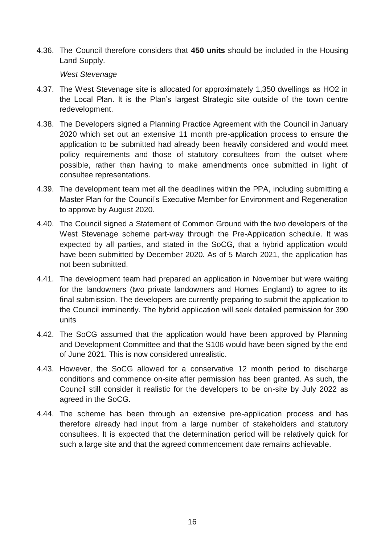4.36. The Council therefore considers that **450 units** should be included in the Housing Land Supply.

*West Stevenage*

- 4.37. The West Stevenage site is allocated for approximately 1,350 dwellings as HO2 in the Local Plan. It is the Plan's largest Strategic site outside of the town centre redevelopment.
- 4.38. The Developers signed a Planning Practice Agreement with the Council in January 2020 which set out an extensive 11 month pre-application process to ensure the application to be submitted had already been heavily considered and would meet policy requirements and those of statutory consultees from the outset where possible, rather than having to make amendments once submitted in light of consultee representations.
- 4.39. The development team met all the deadlines within the PPA, including submitting a Master Plan for the Council's Executive Member for Environment and Regeneration to approve by August 2020.
- 4.40. The Council signed a Statement of Common Ground with the two developers of the West Stevenage scheme part-way through the Pre-Application schedule. It was expected by all parties, and stated in the SoCG, that a hybrid application would have been submitted by December 2020. As of 5 March 2021, the application has not been submitted.
- 4.41. The development team had prepared an application in November but were waiting for the landowners (two private landowners and Homes England) to agree to its final submission. The developers are currently preparing to submit the application to the Council imminently. The hybrid application will seek detailed permission for 390 units
- 4.42. The SoCG assumed that the application would have been approved by Planning and Development Committee and that the S106 would have been signed by the end of June 2021. This is now considered unrealistic.
- 4.43. However, the SoCG allowed for a conservative 12 month period to discharge conditions and commence on-site after permission has been granted. As such, the Council still consider it realistic for the developers to be on-site by July 2022 as agreed in the SoCG.
- 4.44. The scheme has been through an extensive pre-application process and has therefore already had input from a large number of stakeholders and statutory consultees. It is expected that the determination period will be relatively quick for such a large site and that the agreed commencement date remains achievable.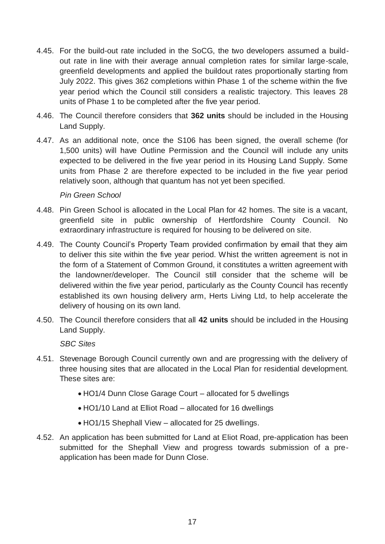- 4.45. For the build-out rate included in the SoCG, the two developers assumed a buildout rate in line with their average annual completion rates for similar large-scale, greenfield developments and applied the buildout rates proportionally starting from July 2022. This gives 362 completions within Phase 1 of the scheme within the five year period which the Council still considers a realistic trajectory. This leaves 28 units of Phase 1 to be completed after the five year period.
- 4.46. The Council therefore considers that **362 units** should be included in the Housing Land Supply.
- 4.47. As an additional note, once the S106 has been signed, the overall scheme (for 1,500 units) will have Outline Permission and the Council will include any units expected to be delivered in the five year period in its Housing Land Supply. Some units from Phase 2 are therefore expected to be included in the five year period relatively soon, although that quantum has not yet been specified.

#### *Pin Green School*

- 4.48. Pin Green School is allocated in the Local Plan for 42 homes. The site is a vacant, greenfield site in public ownership of Hertfordshire County Council. No extraordinary infrastructure is required for housing to be delivered on site.
- 4.49. The County Council's Property Team provided confirmation by email that they aim to deliver this site within the five year period. Whist the written agreement is not in the form of a Statement of Common Ground, it constitutes a written agreement with the landowner/developer. The Council still consider that the scheme will be delivered within the five year period, particularly as the County Council has recently established its own housing delivery arm, Herts Living Ltd, to help accelerate the delivery of housing on its own land.
- 4.50. The Council therefore considers that all **42 units** should be included in the Housing Land Supply.

*SBC Sites*

- 4.51. Stevenage Borough Council currently own and are progressing with the delivery of three housing sites that are allocated in the Local Plan for residential development. These sites are:
	- HO1/4 Dunn Close Garage Court allocated for 5 dwellings
	- HO1/10 Land at Elliot Road allocated for 16 dwellings
	- HO1/15 Shephall View allocated for 25 dwellings.
- 4.52. An application has been submitted for Land at Eliot Road, pre-application has been submitted for the Shephall View and progress towards submission of a preapplication has been made for Dunn Close.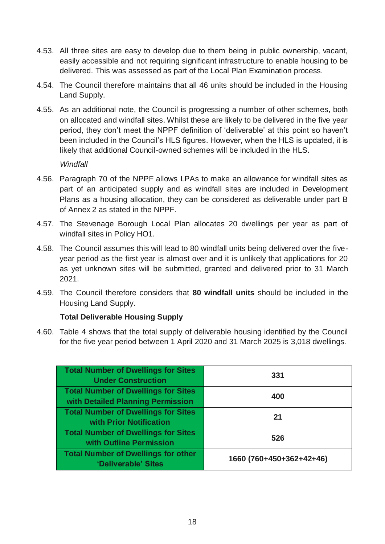- 4.53. All three sites are easy to develop due to them being in public ownership, vacant, easily accessible and not requiring significant infrastructure to enable housing to be delivered. This was assessed as part of the Local Plan Examination process.
- 4.54. The Council therefore maintains that all 46 units should be included in the Housing Land Supply.
- 4.55. As an additional note, the Council is progressing a number of other schemes, both on allocated and windfall sites. Whilst these are likely to be delivered in the five year period, they don't meet the NPPF definition of 'deliverable' at this point so haven't been included in the Council's HLS figures. However, when the HLS is updated, it is likely that additional Council-owned schemes will be included in the HLS.

*Windfall*

- 4.56. Paragraph 70 of the NPPF allows LPAs to make an allowance for windfall sites as part of an anticipated supply and as windfall sites are included in Development Plans as a housing allocation, they can be considered as deliverable under part B of Annex 2 as stated in the NPPF.
- 4.57. The Stevenage Borough Local Plan allocates 20 dwellings per year as part of windfall sites in Policy HO1.
- 4.58. The Council assumes this will lead to 80 windfall units being delivered over the fiveyear period as the first year is almost over and it is unlikely that applications for 20 as yet unknown sites will be submitted, granted and delivered prior to 31 March 2021.
- 4.59. The Council therefore considers that **80 windfall units** should be included in the Housing Land Supply.

# **Total Deliverable Housing Supply**

4.60. Table 4 shows that the total supply of deliverable housing identified by the Council for the five year period between 1 April 2020 and 31 March 2025 is 3,018 dwellings.

| <b>Total Number of Dwellings for Sites</b><br><b>Under Construction</b>         | 331                      |
|---------------------------------------------------------------------------------|--------------------------|
| <b>Total Number of Dwellings for Sites</b><br>with Detailed Planning Permission | 400                      |
| <b>Total Number of Dwellings for Sites</b><br>with Prior Notification           | 21                       |
| <b>Total Number of Dwellings for Sites</b><br>with Outline Permission           | 526                      |
| <b>Total Number of Dwellings for other</b><br>'Deliverable' Sites               | 1660 (760+450+362+42+46) |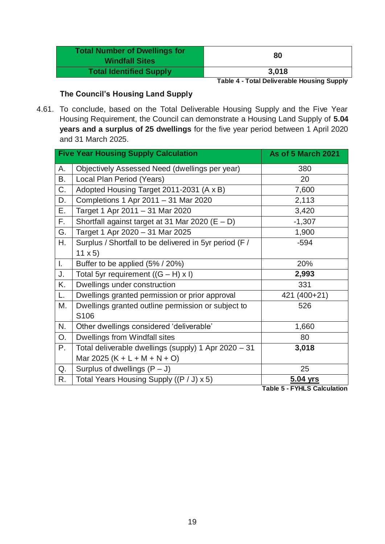| <b>Total Number of Dwellings for</b><br><b>Windfall Sites</b> | 80    |
|---------------------------------------------------------------|-------|
| <b>Total Identified Supply</b>                                | 3,018 |

**Table 4 - Total Deliverable Housing Supply**

# **The Council's Housing Land Supply**

4.61. To conclude, based on the Total Deliverable Housing Supply and the Five Year Housing Requirement, the Council can demonstrate a Housing Land Supply of **5.04 years and a surplus of 25 dwellings** for the five year period between 1 April 2020 and 31 March 2025.

|    | <b>Five Year Housing Supply Calculation</b>                | <b>As of 5 March 2021</b>                  |
|----|------------------------------------------------------------|--------------------------------------------|
| Α. | Objectively Assessed Need (dwellings per year)             | 380                                        |
| В. | Local Plan Period (Years)                                  | 20                                         |
| C. | Adopted Housing Target 2011-2031 (A x B)                   | 7,600                                      |
| D. | Completions 1 Apr 2011 - 31 Mar 2020                       | 2,113                                      |
| Ε. | Target 1 Apr 2011 - 31 Mar 2020                            | 3,420                                      |
| F. | Shortfall against target at 31 Mar 2020 ( $E - D$ )        | $-1,307$                                   |
| G. | Target 1 Apr 2020 - 31 Mar 2025                            | 1,900                                      |
| Η. | Surplus / Shortfall to be delivered in 5yr period (F /     | $-594$                                     |
|    | $11 \times 5$                                              |                                            |
| I. | Buffer to be applied (5% / 20%)                            | 20%                                        |
| J. | Total 5yr requirement $((G - H) \times I)$                 | 2,993                                      |
| K. | Dwellings under construction                               | 331                                        |
| L. | Dwellings granted permission or prior approval             | 421 (400+21)                               |
| Μ. | Dwellings granted outline permission or subject to<br>S106 | 526                                        |
| N. | Other dwellings considered 'deliverable'                   | 1,660                                      |
| O. | Dwellings from Windfall sites                              | 80                                         |
| Ρ. | Total deliverable dwellings (supply) 1 Apr 2020 - 31       | 3,018                                      |
|    | Mar 2025 (K + L + M + N + O)                               |                                            |
| Q. | Surplus of dwellings $(P - J)$                             | 25                                         |
| R. | Total Years Housing Supply ((P / J) x 5)                   | 5.04 yrs<br>Table E<br>EVUL C. Coloulation |

**Table 5 - FYHLS Calculation**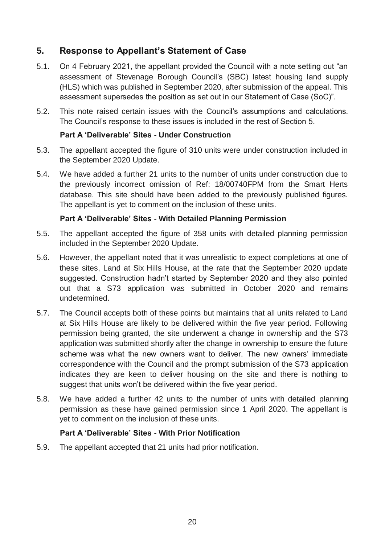# <span id="page-19-0"></span>**5. Response to Appellant's Statement of Case**

- 5.1. On 4 February 2021, the appellant provided the Council with a note setting out "an assessment of Stevenage Borough Council's (SBC) latest housing land supply (HLS) which was published in September 2020, after submission of the appeal. This assessment supersedes the position as set out in our Statement of Case (SoC)".
- 5.2. This note raised certain issues with the Council's assumptions and calculations. The Council's response to these issues is included in the rest of Section 5.

# **Part A 'Deliverable' Sites - Under Construction**

- 5.3. The appellant accepted the figure of 310 units were under construction included in the September 2020 Update.
- 5.4. We have added a further 21 units to the number of units under construction due to the previously incorrect omission of Ref: 18/00740FPM from the Smart Herts database. This site should have been added to the previously published figures. The appellant is yet to comment on the inclusion of these units.

#### **Part A 'Deliverable' Sites - With Detailed Planning Permission**

- 5.5. The appellant accepted the figure of 358 units with detailed planning permission included in the September 2020 Update.
- 5.6. However, the appellant noted that it was unrealistic to expect completions at one of these sites, Land at Six Hills House, at the rate that the September 2020 update suggested. Construction hadn't started by September 2020 and they also pointed out that a S73 application was submitted in October 2020 and remains undetermined.
- 5.7. The Council accepts both of these points but maintains that all units related to Land at Six Hills House are likely to be delivered within the five year period. Following permission being granted, the site underwent a change in ownership and the S73 application was submitted shortly after the change in ownership to ensure the future scheme was what the new owners want to deliver. The new owners' immediate correspondence with the Council and the prompt submission of the S73 application indicates they are keen to deliver housing on the site and there is nothing to suggest that units won't be delivered within the five year period.
- 5.8. We have added a further 42 units to the number of units with detailed planning permission as these have gained permission since 1 April 2020. The appellant is yet to comment on the inclusion of these units.

#### **Part A 'Deliverable' Sites - With Prior Notification**

5.9. The appellant accepted that 21 units had prior notification.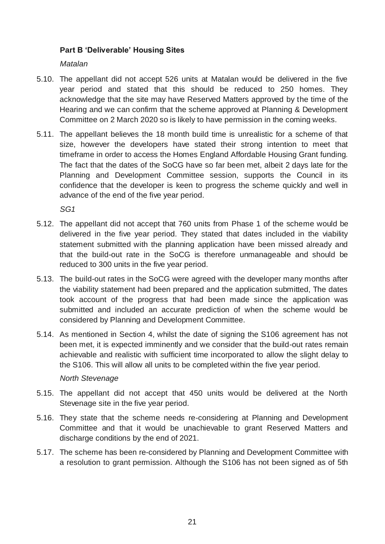# **Part B 'Deliverable' Housing Sites**

*Matalan*

- 5.10. The appellant did not accept 526 units at Matalan would be delivered in the five year period and stated that this should be reduced to 250 homes. They acknowledge that the site may have Reserved Matters approved by the time of the Hearing and we can confirm that the scheme approved at Planning & Development Committee on 2 March 2020 so is likely to have permission in the coming weeks.
- 5.11. The appellant believes the 18 month build time is unrealistic for a scheme of that size, however the developers have stated their strong intention to meet that timeframe in order to access the Homes England Affordable Housing Grant funding. The fact that the dates of the SoCG have so far been met, albeit 2 days late for the Planning and Development Committee session, supports the Council in its confidence that the developer is keen to progress the scheme quickly and well in advance of the end of the five year period.

*SG1*

- 5.12. The appellant did not accept that 760 units from Phase 1 of the scheme would be delivered in the five year period. They stated that dates included in the viability statement submitted with the planning application have been missed already and that the build-out rate in the SoCG is therefore unmanageable and should be reduced to 300 units in the five year period.
- 5.13. The build-out rates in the SoCG were agreed with the developer many months after the viability statement had been prepared and the application submitted, The dates took account of the progress that had been made since the application was submitted and included an accurate prediction of when the scheme would be considered by Planning and Development Committee.
- 5.14. As mentioned in Section 4, whilst the date of signing the S106 agreement has not been met, it is expected imminently and we consider that the build-out rates remain achievable and realistic with sufficient time incorporated to allow the slight delay to the S106. This will allow all units to be completed within the five year period.

#### *North Stevenage*

- 5.15. The appellant did not accept that 450 units would be delivered at the North Stevenage site in the five year period.
- 5.16. They state that the scheme needs re-considering at Planning and Development Committee and that it would be unachievable to grant Reserved Matters and discharge conditions by the end of 2021.
- 5.17. The scheme has been re-considered by Planning and Development Committee with a resolution to grant permission. Although the S106 has not been signed as of 5th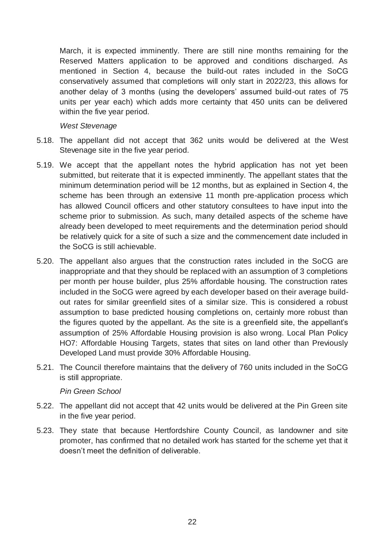March, it is expected imminently. There are still nine months remaining for the Reserved Matters application to be approved and conditions discharged. As mentioned in Section 4, because the build-out rates included in the SoCG conservatively assumed that completions will only start in 2022/23, this allows for another delay of 3 months (using the developers' assumed build-out rates of 75 units per year each) which adds more certainty that 450 units can be delivered within the five year period.

*West Stevenage*

- 5.18. The appellant did not accept that 362 units would be delivered at the West Stevenage site in the five year period.
- 5.19. We accept that the appellant notes the hybrid application has not yet been submitted, but reiterate that it is expected imminently. The appellant states that the minimum determination period will be 12 months, but as explained in Section 4, the scheme has been through an extensive 11 month pre-application process which has allowed Council officers and other statutory consultees to have input into the scheme prior to submission. As such, many detailed aspects of the scheme have already been developed to meet requirements and the determination period should be relatively quick for a site of such a size and the commencement date included in the SoCG is still achievable.
- 5.20. The appellant also argues that the construction rates included in the SoCG are inappropriate and that they should be replaced with an assumption of 3 completions per month per house builder, plus 25% affordable housing. The construction rates included in the SoCG were agreed by each developer based on their average buildout rates for similar greenfield sites of a similar size. This is considered a robust assumption to base predicted housing completions on, certainly more robust than the figures quoted by the appellant. As the site is a greenfield site, the appellant's assumption of 25% Affordable Housing provision is also wrong. Local Plan Policy HO7: Affordable Housing Targets, states that sites on land other than Previously Developed Land must provide 30% Affordable Housing.
- 5.21. The Council therefore maintains that the delivery of 760 units included in the SoCG is still appropriate.

*Pin Green School*

- 5.22. The appellant did not accept that 42 units would be delivered at the Pin Green site in the five year period.
- 5.23. They state that because Hertfordshire County Council, as landowner and site promoter, has confirmed that no detailed work has started for the scheme yet that it doesn't meet the definition of deliverable.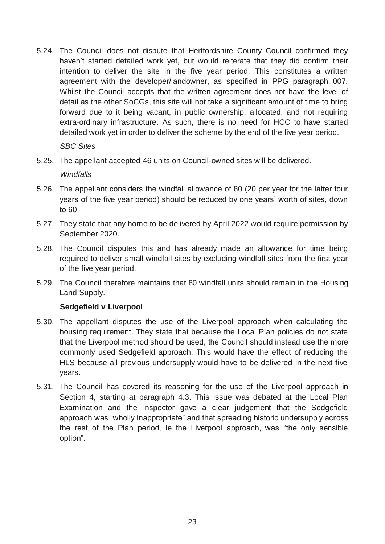5.24. The Council does not dispute that Hertfordshire County Council confirmed they haven't started detailed work yet, but would reiterate that they did confirm their intention to deliver the site in the five year period. This constitutes a written agreement with the developer/landowner, as specified in PPG paragraph 007. Whilst the Council accepts that the written agreement does not have the level of detail as the other SoCGs, this site will not take a significant amount of time to bring forward due to it being vacant, in public ownership, allocated, and not requiring extra-ordinary infrastructure. As such, there is no need for HCC to have started detailed work yet in order to deliver the scheme by the end of the five year period.

*SBC Sites*

5.25. The appellant accepted 46 units on Council-owned sites will be delivered.

*Windfalls*

- 5.26. The appellant considers the windfall allowance of 80 (20 per year for the latter four years of the five year period) should be reduced by one years' worth of sites, down to 60.
- 5.27. They state that any home to be delivered by April 2022 would require permission by September 2020.
- 5.28. The Council disputes this and has already made an allowance for time being required to deliver small windfall sites by excluding windfall sites from the first year of the five year period.
- 5.29. The Council therefore maintains that 80 windfall units should remain in the Housing Land Supply.

# **Sedgefield v Liverpool**

- 5.30. The appellant disputes the use of the Liverpool approach when calculating the housing requirement. They state that because the Local Plan policies do not state that the Liverpool method should be used, the Council should instead use the more commonly used Sedgefield approach. This would have the effect of reducing the HLS because all previous undersupply would have to be delivered in the next five years.
- 5.31. The Council has covered its reasoning for the use of the Liverpool approach in Section 4, starting at paragraph 4.3. This issue was debated at the Local Plan Examination and the Inspector gave a clear judgement that the Sedgefield approach was "wholly inappropriate" and that spreading historic undersupply across the rest of the Plan period, ie the Liverpool approach, was "the only sensible option".